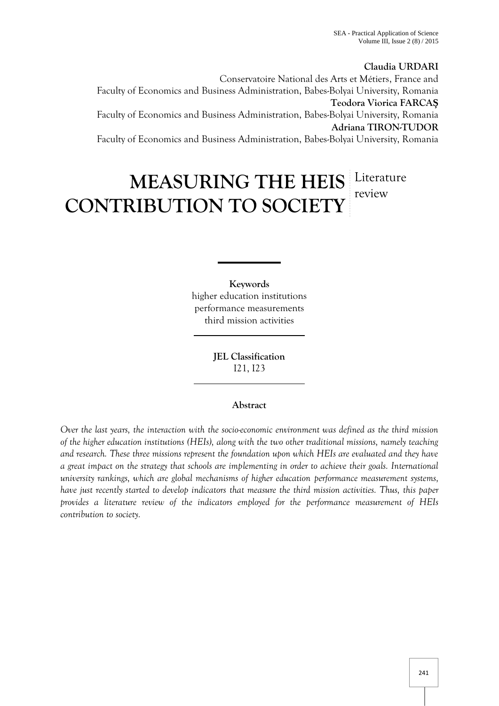**Claudia URDARI** Conservatoire National des Arts et Métiers, France and Faculty of Economics and Business Administration, Babes-Bolyai University, Romania **Teodora Viorica FARCA** Faculty of Economics and Business Administration, Babes-Bolyai University, Romania **Adriana TIRON-TUDOR** Faculty of Economics and Business Administration, Babes-Bolyai University, Romania

# **MEASURING THE HEIS** Literature **CONTRIBUTION TO SOCIETY** review

**Keywords** higher education institutions performance measurements third mission activities

> **JEL Classification** I21, I23

# **Abstract**

*Over the last years, the interaction with the socio-economic environment was defined as the third mission of the higher education institutions (HEIs), along with the two other traditional missions, namely teaching and research. These three missions represent the foundation upon which HEIs are evaluated and they have a great impact on the strategy that schools are implementing in order to achieve their goals. International university rankings, which are global mechanisms of higher education performance measurement systems, have just recently started to develop indicators that measure the third mission activities. Thus, this paper provides a literature review of the indicators employed for the performance measurement of HEIs contribution to society.*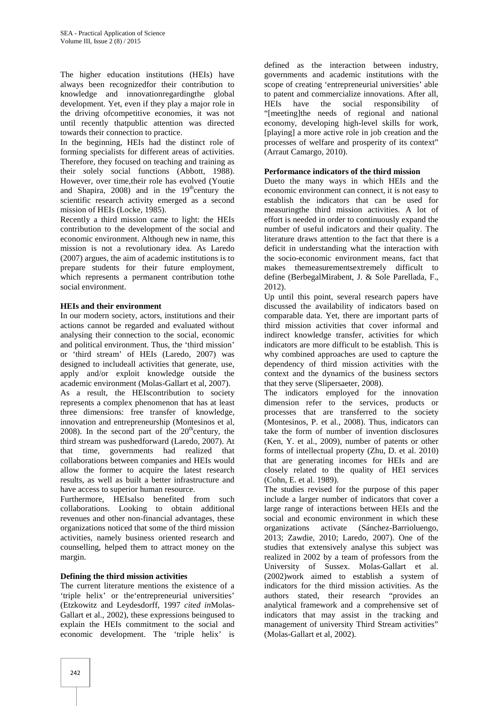The higher education institutions (HEIs) have always been recognizedfor their contribution to knowledge and innovationregardingthe global development. Yet, even if they play a major role in the driving ofcompetitive economies, it was not until recently thatpublic attention was directed towards their connection to practice.

In the beginning, HEIs had the distinct role of forming specialists for different areas of activities. Therefore, they focused on teaching and training as their solely social functions (Abbott, 1988). However, over time,their role has evolved (Youtie and Shapira, 2008) and in the  $19<sup>th</sup>$ century the scientific research activity emerged as a second mission of HEIs (Locke, 1985).

Recently a third mission came to light: the HEIs contribution to the development of the social and economic environment. Although new in name, this mission is not a revolutionary idea. As Laredo (2007) argues, the aim of academic institutions is to prepare students for their future employment, which represents a permanent contribution tothe social environment.

# **HEIs and their environment**

In our modern society, actors, institutions and their actions cannot be regarded and evaluated without analysing their connection to the social, economic and political environment. Thus, the 'third mission' or 'third stream' of HEIs (Laredo, 2007) was designed to includeall activities that generate, use, apply and/or exploit knowledge outside the academic environment (Molas-Gallart et al, 2007). As a result, the HEIscontribution to society represents a complex phenomenon that has at least three dimensions: free transfer of knowledge, innovation and entrepreneurship (Montesinos et al, 2008). In the second part of the  $20<sup>th</sup>$ century, the third stream was pushedforward (Laredo, 2007). At that time, governments had realized that collaborations between companies and HEIs would allow the former to acquire the latest research results, as well as built a better infrastructure and have access to superior human resource.

Furthermore, HEIsalso benefited from such collaborations. Looking to obtain additional revenues and other non-financial advantages, these organizations noticed that some of the third mission activities, namely business oriented research and counselling, helped them to attract money on the margin.

# **Defining the third mission activities**

The current literature mentions the existence of a 'triple helix' or the'entrepreneurial universities' (Etzkowitz and Leydesdorff, 1997 *cited in*Molas- Gallart et al., 2002), these expressions beingused to explain the HEIs commitment to the social and economic development. The 'triple helix' is

defined as the interaction between industry, governments and academic institutions with the scope of creating 'entrepreneurial universities' able to patent and commercialize innovations. After all, have the social responsibility of "[meeting]the needs of regional and national economy, developing high-level skills for work, [playing] a more active role in job creation and the processes of welfare and prosperity of its context" (Arraut Camargo, 2010).

#### **Performance indicators of the third mission**

Dueto the many ways in which HEIs and the economic environment can connect, it is not easy to establish the indicators that can be used for measuringthe third mission activities. A lot of effort is needed in order to continuously expand the number of useful indicators and their quality. The literature draws attention to the fact that there is a deficit in understanding what the interaction with the socio-economic environment means, fact that makes themeasurementsextremely difficult to define (BerbegalMirabent, J. & Sole Parellada, F., 2012).

Up until this point, several research papers have discussed the availability of indicators based on comparable data. Yet, there are important parts of third mission activities that cover informal and indirect knowledge transfer, activities for which indicators are more difficult to be establish. This is why combined approaches are used to capture the dependency of third mission activities with the context and the dynamics of the business sectors that they serve (Slipersaeter, 2008).

The indicators employed for the innovation dimension refer to the services, products or processes that are transferred to the society (Montesinos, P. et al., 2008). Thus, indicators can take the form of number of invention disclosures (Ken, Y. et al., 2009), number of patents or other forms of intellectual property (Zhu, D. et al. 2010) that are generating incomes for HEIs and are closely related to the quality of HEI services (Cohn, E. et al. 1989).

The studies revised for the purpose of this paper include a larger number of indicators that cover a large range of interactions between HEIs and the social and economic environment in which these activate (Sánchez-Barrioluengo, 2013; Zawdie, 2010; Laredo, 2007). One of the studies that extensively analyse this subject was realized in 2002 by a team of professors from the University of Sussex. Molas-Gallart et al. (2002)work aimed to establish a system of indicators for the third mission activities. As the authors stated, their research "provides an analytical framework and a comprehensive set of indicators that may assist in the tracking and management of university Third Stream activities" (Molas-Gallart et al, 2002).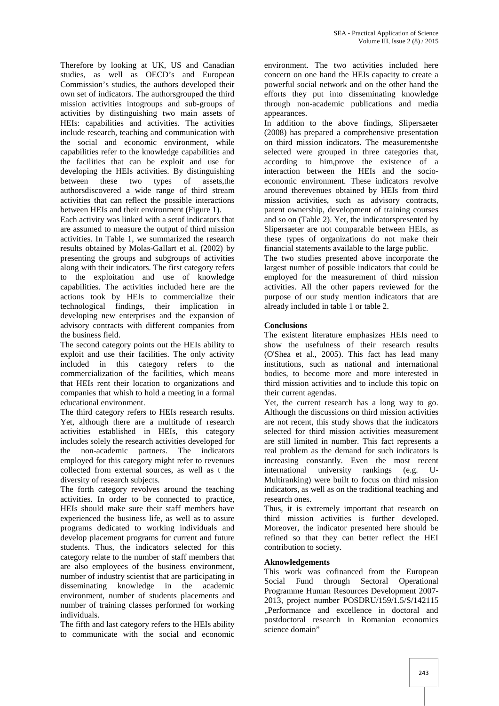Therefore by looking at UK, US and Canadian studies, as well as OECD's and European Commission's studies, the authors developed their own set of indicators. The authorsgrouped the third mission activities intogroups and sub-groups of activities by distinguishing two main assets of HEIs: capabilities and activities. The activities include research, teaching and communication with the social and economic environment, while capabilities refer to the knowledge capabilities and the facilities that can be exploit and use for developing the HEIs activities. By distinguishing between these two types of assets,the authorsdiscovered a wide range of third stream activities that can reflect the possible interactions between HEIs and their environment (Figure 1).

Each activity was linked with a setof indicators that are assumed to measure the output of third mission activities. In Table 1, we summarized the research results obtained by Molas-Gallart et al. (2002) by presenting the groups and subgroups of activities along with their indicators. The first category refers to the exploitation and use of knowledge capabilities. The activities included here are the actions took by HEIs to commercialize their technological findings, their implication in developing new enterprises and the expansion of advisory contracts with different companies from the business field.

The second category points out the HEIs ability to exploit and use their facilities. The only activity included in this category refers to the commercialization of the facilities, which means that HEIs rent their location to organizations and companies that whish to hold a meeting in a formal educational environment.

The third category refers to HEIs research results. Yet, although there are a multitude of research activities established in HEIs, this category includes solely the research activities developed for the non-academic partners. The indicators employed for this category might refer to revenues collected from external sources, as well as tthe diversity of research subjects.

The forth category revolves around the teaching activities. In order to be connected to practice, HEIs should make sure their staff members have experienced the business life, as well as to assure programs dedicated to working individuals and develop placement programs for current and future students. Thus, the indicators selected for this category relate to the number of staff members that are also employees of the business environment, number of industry scientist that are participating in disseminating knowledge in the academic environment, number of students placements and number of training classes performed for working individuals.

The fifth and last category refers to the HEIs ability to communicate with the social and economic environment. The two activities included here concern on one hand the HEIs capacity to create a powerful social network and on the other hand the efforts they put into disseminating knowledge through non-academic publications and media appearances.

In addition to the above findings, Slipersaeter (2008) has prepared a comprehensive presentation on third mission indicators. The measurementshe selected were grouped in three categories that, according to him,prove the existence of a interaction between the HEIs and the socio economic environment. These indicators revolve around therevenues obtained by HEIs from third mission activities, such as advisory contracts, patent ownership, development of training courses and so on (Table 2). Yet, the indicatorspresented by Slipersaeter are not comparable between HEIs, as these types of organizations do not make their financial statements available to the large public.

The two studies presented above incorporate the largest number of possible indicators that could be employed for the measurement of third mission activities. All the other papers reviewed for the purpose of our study mention indicators that are already included in table 1 or table 2.

# **Conclusions**

The existent literature emphasizes HEIs need to show the usefulness of their research results (O'Shea et al., 2005). This fact has lead many institutions, such as national and international bodies, to become more and more interested in third mission activities and to include this topic on their current agendas.

Yet, the current research has a long way to go. Although the discussions on third mission activities are not recent, this study shows that the indicators selected for third mission activities measurement are still limited in number. This fact represents a real problem as the demand for such indicators is increasing constantly. Even the most recent international university rankings (e.g. U- Multiranking) were built to focus on third mission indicators, as well as on the traditional teaching and research ones.

Thus, it is extremely important that research on third mission activities is further developed. Moreover, the indicator presented here should be refined so that they can better reflect the HEI contribution to society.

# **Aknowledgements**

This work was cofinanced from the European Social Fund through Sectoral Operational Programme Human Resources Development 2007- 2013, project number POSDRU/159/1.5/S/142115 "Performance and excellence in doctoral and postdoctoral research in Romanian economics science domain"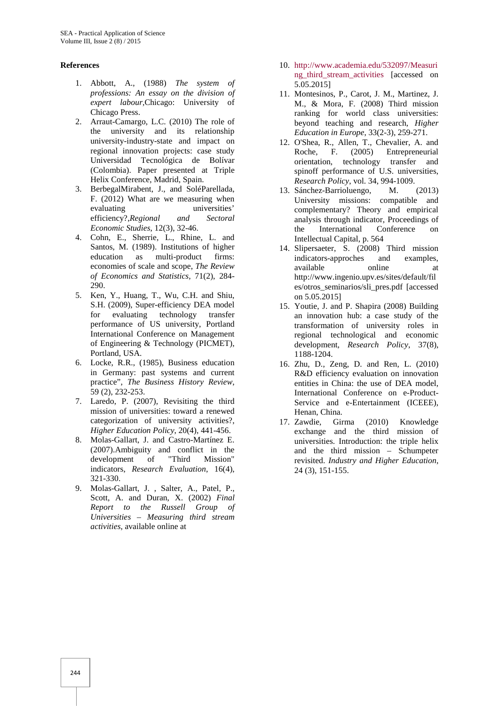# **References**

- 1. Abbott, A., (1988) *The system of professions: An essay on the division of expert labour,*Chicago: University of Chicago Press.
- 2. Arraut-Camargo, L.C. (2010) The role of the university and its relationship university-industry-state and impact on regional innovation projects: case study Universidad Tecnológica de Bolívar (Colombia). Paper presented at Triple Helix Conference, Madrid, Spain.
- 3. BerbegalMirabent, J., and SoléParellada, F. (2012) What are we measuring when evaluating universities' efficiency?,*Regional and Sectoral Economic Studies*, 12(3), 32-46.
- 4. Cohn, E., Sherrie, L., Rhine, L. and Santos, M. (1989). Institutions of higher education as multi-product firms: economies of scale and scope, *The Review of Economics and Statistics,* 71(2), 284- 290.
- 5. Ken, Y., Huang, T., Wu, C.H. and Shiu, S.H. (2009), Super-efficiency DEA model for evaluating technology transfer performance of US university, Portland International Conference on Management of Engineering & Technology (PICMET), Portland, USA.
- 6. Locke, R.R., (1985), Business education in Germany: past systems and current practice", *The Business History Review*, 59 (2), 232-253.
- 7. Laredo, P. (2007), Revisiting the third mission of universities: toward a renewed categorization of university activities?, *Higher Education Policy*, 20(4), 441-456.
- 8. Molas-Gallart, J. and Castro-Martínez E. (2007).Ambiguity and conflict in the development of "Third Mission" indicators, *Research Evaluation*, 16(4), 321-330.
- 9. Molas-Gallart, J. , Salter, A., Patel, P., Scott, A. and Duran, X. (2002) *Final Report to the Russell Group of Universities – Measuring third stream activities*, available online at
- 10. http://www.academia.edu/532097/Measuri ng third stream activities [accessed on 5.05.2015]
- 11. Montesinos, P., Carot, J. M., Martinez, J. M., & Mora, F. (2008) Third mission ranking for world class universities: beyond teaching and research, *Higher Education in Europe*, 33(2-3), 259-271.
- 12. O'Shea, R., Allen, T., Chevalier, A. and<br>Roche. F. (2005) Entrepreneurial F. (2005) Entrepreneurial orientation, technology transfer and spinoff performance of U.S. universities, *Research Policy*, vol. 34, 994-1009.
- 13. Sánchez-Barrioluengo, M. (2013) University missions: compatible and complementary? Theory and empirical analysis through indicator, Proceedings of the International Conference on Intellectual Capital, p. 564
- 14. Slipersaeter, S. (2008) Third mission indicators-approches and examples, available online at http://www.ingenio.upv.es/sites/default/fil es/otros\_seminarios/sli\_pres.pdf [accessed on 5.05.2015]
- 15. Youtie, J. and P. Shapira (2008) Building an innovation hub: a case study of the transformation of university roles in regional technological and economic development, *Research Policy*, 37(8), 1188-1204.
- 16. Zhu, D., Zeng, D. and Ren, L. (2010) R&D efficiency evaluation on innovation entities in China: the use of DEA model, International Conference on e-Product- Service and e-Entertainment (ICEEE), Henan, China.
- 17. Zawdie, Girma (2010) Knowledge exchange and the third mission of universities. Introduction: the triple helix and the third mission – Schumpeter revisited. *Industry and Higher Education*, 24 (3), 151-155.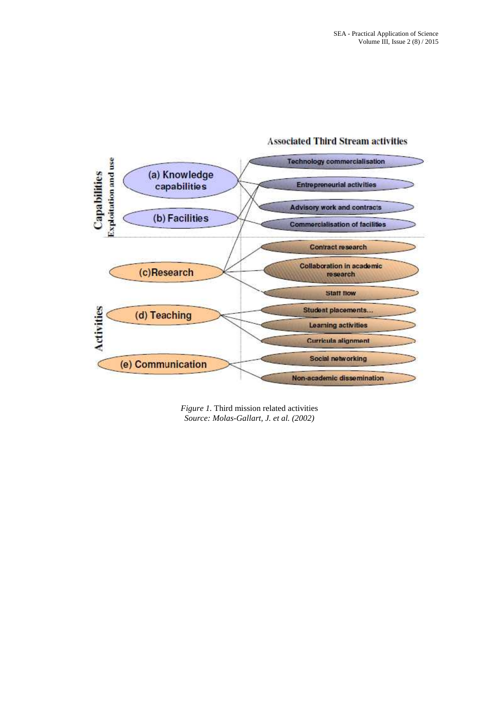

# **Associated Third Stream activities**

*Figure 1.* Third mission related activities *Source: Molas-Gallart, J. et al. (2002)*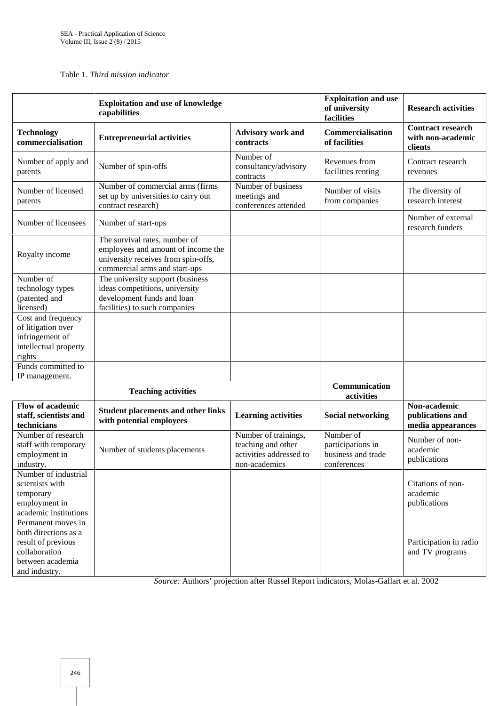Table 1. *Third mission indicator*

|                                                                                                                        | <b>Exploitation and use of knowledge</b><br>capabilities                                                                                    |                                                                                        | <b>Exploitation and use</b><br>of university<br>facilities          | <b>Research activities</b>                               |
|------------------------------------------------------------------------------------------------------------------------|---------------------------------------------------------------------------------------------------------------------------------------------|----------------------------------------------------------------------------------------|---------------------------------------------------------------------|----------------------------------------------------------|
| <b>Technology</b><br>commercialisation                                                                                 | <b>Entrepreneurial activities</b>                                                                                                           | <b>Advisory work and</b><br>contracts                                                  | Commercialisation<br>of facilities                                  | <b>Contract research</b><br>with non-academic<br>clients |
| Number of apply and<br>patents                                                                                         | Number of spin-offs                                                                                                                         | Number of<br>consultancy/advisory<br>contracts                                         | Revenues from<br>facilities renting                                 | Contract research<br>revenues                            |
| Number of licensed<br>patents                                                                                          | Number of commercial arms (firms<br>set up by universities to carry out<br>contract research)                                               | Number of business<br>meetings and<br>conferences attended                             | Number of visits<br>from companies                                  | The diversity of<br>research interest                    |
| Number of licensees                                                                                                    | Number of start-ups                                                                                                                         |                                                                                        |                                                                     | Number of external<br>research funders                   |
| Royalty income                                                                                                         | The survival rates, number of<br>employees and amount of income the<br>university receives from spin-offs,<br>commercial arms and start-ups |                                                                                        |                                                                     |                                                          |
| Number of<br>technology types<br>(patented and<br>licensed)                                                            | The university support (business<br>ideas competitions, university<br>development funds and loan<br>facilities) to such companies           |                                                                                        |                                                                     |                                                          |
| Cost and frequency<br>of litigation over<br>infringement of<br>intellectual property<br>rights                         |                                                                                                                                             |                                                                                        |                                                                     |                                                          |
| Funds committed to<br>IP management.                                                                                   |                                                                                                                                             |                                                                                        |                                                                     |                                                          |
|                                                                                                                        | <b>Teaching activities</b>                                                                                                                  |                                                                                        | Communication<br>activities                                         |                                                          |
| <b>Flow of academic</b><br>staff, scientists and<br>technicians                                                        | <b>Student placements and other links</b><br>with potential employees                                                                       | <b>Learning activities</b>                                                             | <b>Social networking</b>                                            | Non-academic<br>publications and<br>media appearances    |
| Number of research<br>staff with temporary<br>employment in<br>industry.                                               | Number of students placements                                                                                                               | Number of trainings,<br>teaching and other<br>activities addressed to<br>non-academics | Number of<br>participations in<br>business and trade<br>conferences | Number of non-<br>academic<br>publications               |
| Number of industrial<br>scientists with<br>temporary<br>employment in<br>academic institutions                         |                                                                                                                                             |                                                                                        |                                                                     | Citations of non-<br>academic<br>publications            |
| Permanent moves in<br>both directions as a<br>result of previous<br>collaboration<br>between academia<br>and industry. |                                                                                                                                             |                                                                                        |                                                                     | Participation in radio<br>and TV programs                |

*Source:* Authors' projection after Russel Report indicators, Molas-Gallart et al. 2002